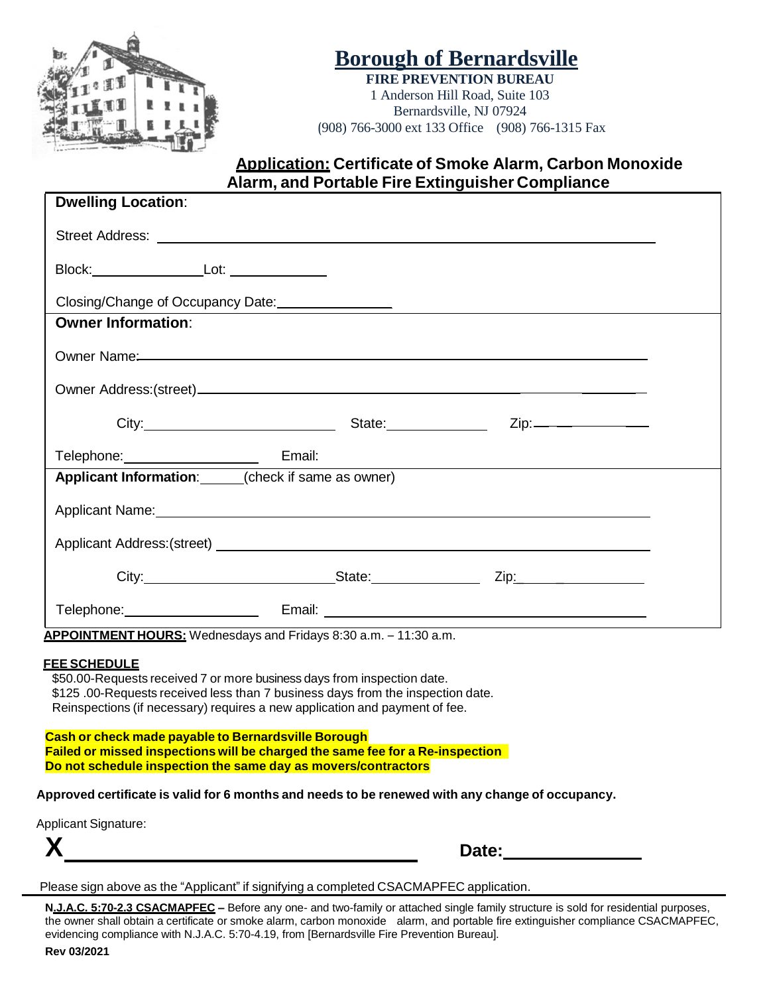

# **Borough of Bernardsville**

**FIRE PREVENTION BUREAU** 1 Anderson Hill Road, Suite 103 Bernardsville, NJ 07924 (908) 766-3000 ext 133 Office (908) 766-1315 Fax

### **Application: Certificate of Smoke Alarm, Carbon Monoxide Alarm, and Portable Fire Extinguisher Compliance**

| <b>Dwelling Location:</b>                                                                                                                                                                                                                                       |                                                                                           |  |
|-----------------------------------------------------------------------------------------------------------------------------------------------------------------------------------------------------------------------------------------------------------------|-------------------------------------------------------------------------------------------|--|
| Street Address: <u>Alexander Address and Alexander Address and Alexander Address and Alexander Address and Alexander Address and Alexander Address and Alexander Address and Alexander Address and Alexander Address and Alexand</u>                            |                                                                                           |  |
|                                                                                                                                                                                                                                                                 |                                                                                           |  |
| Closing/Change of Occupancy Date:<br><u> Closing/Change of Occupancy Date:</u>                                                                                                                                                                                  |                                                                                           |  |
| <b>Owner Information:</b>                                                                                                                                                                                                                                       |                                                                                           |  |
|                                                                                                                                                                                                                                                                 |                                                                                           |  |
|                                                                                                                                                                                                                                                                 |                                                                                           |  |
| City: City: City: City: City: City: City: City: City: City: City: City: City: City: City: City: City: City: City: City: City: City: City: City: City: City: City: City: City: City: City: City: City: City: City: City: City:                                   |                                                                                           |  |
| Telephone: Email:                                                                                                                                                                                                                                               | the control of the control of the control of the control of the control of the control of |  |
| Applicant Information: (check if same as owner)                                                                                                                                                                                                                 |                                                                                           |  |
| Applicant Name: Name: Name and Applicant Name and Applicant Name and Applicant Name and Applicant Name and Applicant Name and Applicant Name and Applicant Name and Applicant Name and Applicant Name and Applicant Name and A                                  |                                                                                           |  |
|                                                                                                                                                                                                                                                                 |                                                                                           |  |
| City: City: City: City: City: City: City: City: City: City: City: City: City: City: City: City: City: City: City: City: City: City: City: City: City: City: City: City: City: City: City: City: City: City: City: City: City:                                   |                                                                                           |  |
|                                                                                                                                                                                                                                                                 |                                                                                           |  |
| APPOINTMENT HOURS: Wednesdays and Fridays 8:30 a.m. - 11:30 a.m.                                                                                                                                                                                                |                                                                                           |  |
| <u>FEE SCHEDULE</u><br>\$50.00-Requests received 7 or more business days from inspection date.<br>\$125.00-Requests received less than 7 business days from the inspection date.<br>Reinspections (if necessary) requires a new application and payment of fee. |                                                                                           |  |

**Cash or check made payable to Bernardsville Borough Failed or missed inspections will be charged the same fee for a Re-inspection Do not schedule inspection the same day as movers/contractors**

**Approved certificate is valid for 6 months and needs to be renewed with any change of occupancy.**

Applicant Signature:

| $\mathbf{v}$ | )ater              |
|--------------|--------------------|
| Л            | Dal <del>c</del> . |
|              |                    |

Please sign above as the "Applicant" if signifying a completed CSACMAPFEC application.

**N.J.A.C. 5:70-2.3 CSACMAPFEC –** Before any one- and two-family or attached single family structure is sold for residential purposes, the owner shall obtain a certificate or smoke alarm, carbon monoxide alarm, and portable fire extinguisher compliance CSACMAPFEC, evidencing compliance with N.J.A.C. 5:70-4.19, from [Bernardsville Fire Prevention Bureau].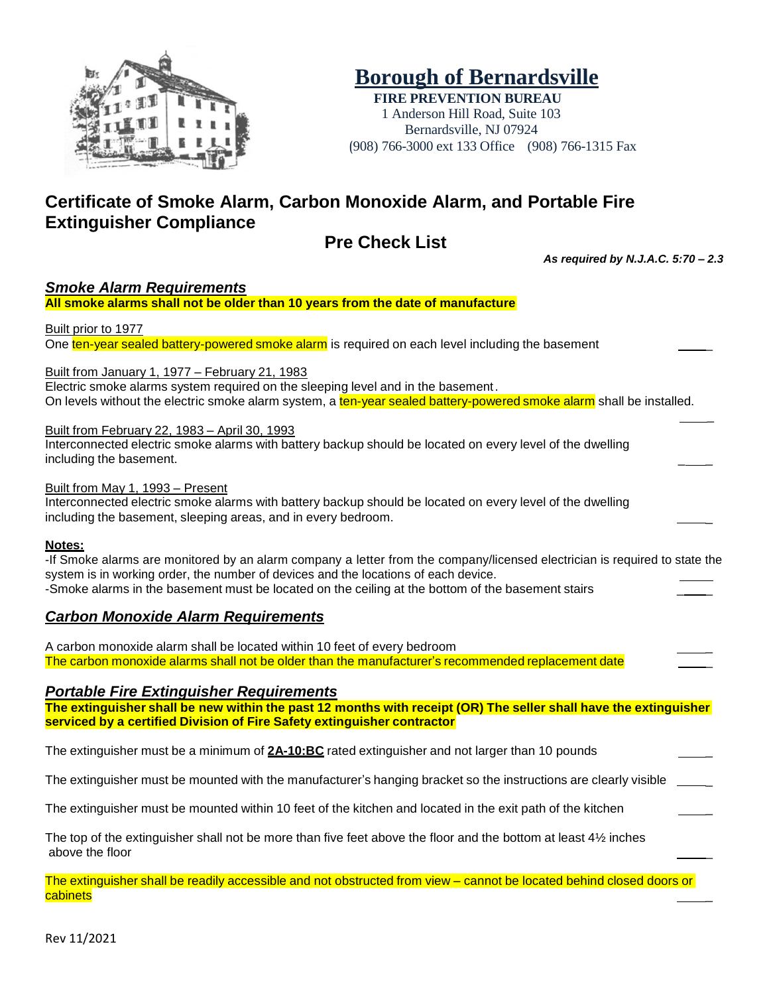

# **Borough of Bernardsville**

**FIRE PREVENTION BUREAU** 1 Anderson Hill Road, Suite 103 Bernardsville, NJ 07924 (908) 766-3000 ext 133 Office (908) 766-1315 Fax

## **Certificate of Smoke Alarm, Carbon Monoxide Alarm, and Portable Fire Extinguisher Compliance**

### **Pre Check List**

*As required by N.J.A.C. 5:70 – 2.3*

*Smoke Alarm Requirements* **All smoke alarms shall not be older than 10 years from the date of manufacture** Built prior to 1977 One ten-year sealed battery-powered smoke alarm is required on each level including the basement Built from January 1, 1977 – February 21, 1983 Electric smoke alarms system required on the sleeping level and in the basement. On levels without the electric smoke alarm system, a ten-year sealed battery-powered smoke alarm shall be installed. \_ Built from February 22, 1983 – April 30, 1993 Interconnected electric smoke alarms with battery backup should be located on every level of the dwelling including the basement. Built from May 1, 1993 – Present Interconnected electric smoke alarms with battery backup should be located on every level of the dwelling including the basement, sleeping areas, and in every bedroom. **Notes:** -If Smoke alarms are monitored by an alarm company a letter from the company/licensed electrician is required to state the system is in working order, the number of devices and the locations of each device. -Smoke alarms in the basement must be located on the ceiling at the bottom of the basement stairs *Carbon Monoxide Alarm Requirements* A carbon monoxide alarm shall be located within 10 feet of every bedroom \_ The carbon monoxide alarms shall not be older than the manufacturer's recommended replacement date *Portable Fire Extinguisher Requirements* The extinguisher shall be new within the past 12 months with receipt (OR) The seller shall have the extinguisher **serviced by a certified Division of Fire Safety extinguisher contractor** The extinguisher must be a minimum of **2A-10:BC** rated extinguisher and not larger than 10 pounds \_ The extinguisher must be mounted with the manufacturer's hanging bracket so the instructions are clearly visible The extinguisher must be mounted within 10 feet of the kitchen and located in the exit path of the kitchen \_

The top of the extinguisher shall not be more than five feet above the floor and the bottom at least 4½ inches above the floor \_

The extinguisher shall be readily accessible and not obstructed from view – cannot be located behind closed doors or cabinets \_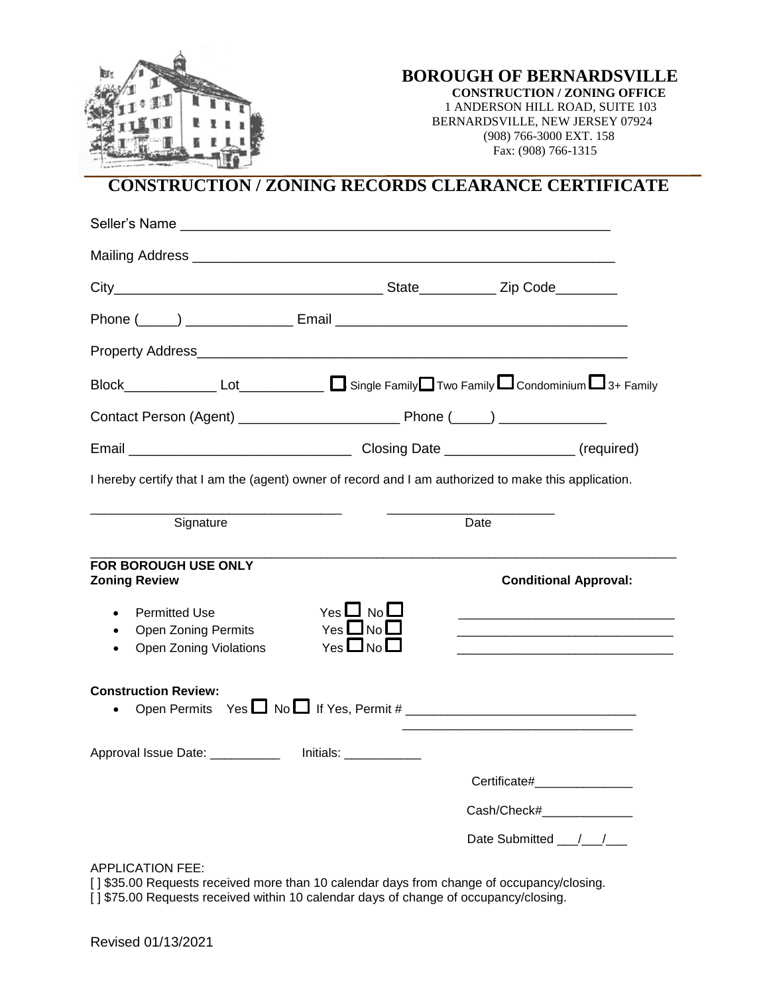

**BOROUGH OF BERNARDSVILLE** 

 **CONSTRUCTION / ZONING OFFICE**  1 ANDERSON HILL ROAD, SUITE 103 BERNARDSVILLE, NEW JERSEY 07924 (908) 766-3000 EXT. 158 Fax: (908) 766-1315

## **CONSTRUCTION / ZONING RECORDS CLEARANCE CERTIFICATE**

| Property Address <b>Container and Container and Container and Container and Container and Container and Container</b> |                                              |                                                  |
|-----------------------------------------------------------------------------------------------------------------------|----------------------------------------------|--------------------------------------------------|
|                                                                                                                       |                                              |                                                  |
|                                                                                                                       |                                              |                                                  |
|                                                                                                                       |                                              |                                                  |
| I hereby certify that I am the (agent) owner of record and I am authorized to make this application.                  |                                              |                                                  |
| Signature                                                                                                             |                                              | Date                                             |
| FOR BOROUGH USE ONLY<br><b>Zoning Review</b><br><b>Permitted Use</b><br><b>Open Zoning Permits</b><br>$\bullet$       | Yes $\Box$ No $\Box$<br>Yes $\Box$ No $\Box$ | <b>Conditional Approval:</b>                     |
| Open Zoning Violations<br><b>Construction Review:</b><br>$\bullet$                                                    | Yes $\Box$ No $\Box$                         | Open Permits $Yes \Box No \Box$ If Yes, Permit # |
| Approval Issue Date: ___________ Initials: __________                                                                 |                                              |                                                  |
|                                                                                                                       |                                              | Certificate#________________                     |
|                                                                                                                       |                                              | Cash/Check#________________                      |
|                                                                                                                       |                                              | Date Submitted / /                               |

APPLICATION FEE:

[] \$35.00 Requests received more than 10 calendar days from change of occupancy/closing. [] \$75.00 Requests received within 10 calendar days of change of occupancy/closing.